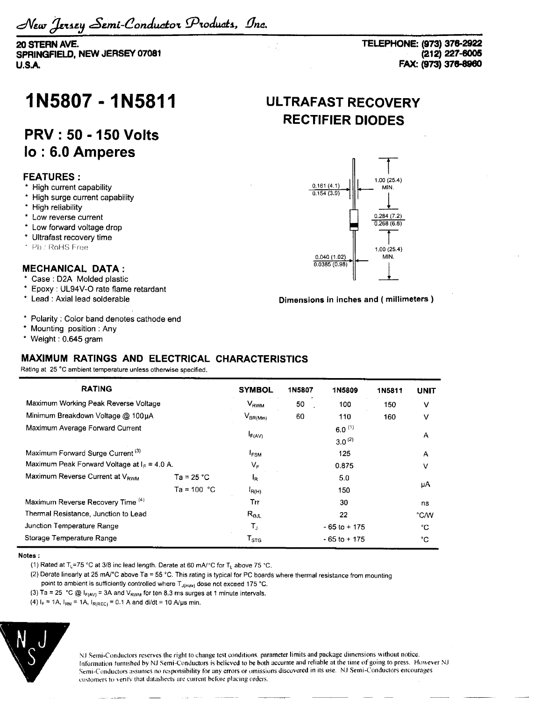**20 STERN AVE. SPRINGFIELD, NEW JERSEY 07081 U.SA**

**TELEPHONE: (973) 376-2922 (212) 227-6005 FAX: (973) 376-8960**

# **1N5807-1N5811**

## **PRV: 50-150 Volts lo : 6.0 Amperes**

### **FEATURES :**

- \* High current capability
- \* High surge current capability
- \* High reliability
- \* Low reverse current
- \* Low forward voltage drop
- \* Ultrafast recovery time
- ' Pb / RoHS Free

### **MECHANICAL DATA:**

- \* Case : D2A Molded plastic
- \* Epoxy : UL94V-O rate flame retardant
- \* Lead : Axial lead solderable
- \* Polarity : Color band denotes cathode end
- \* Mounting position : Any
- \* Weight: 0.645 gram

### **MAXIMUM RATINGS AND ELECTRICAL CHARACTERISTICS**

Rating at 25 °C ambient temperature unless otherwise specified.

| <b>RATING</b>                                 |               | <b>SYMBOL</b>               | <b>1N5807</b> | 1N5809                     | 1N5811 | <b>UNIT</b> |
|-----------------------------------------------|---------------|-----------------------------|---------------|----------------------------|--------|-------------|
| Maximum Working Peak Reverse Voltage          |               | $V_{RWM}$                   | 50            | 100                        | 150    | v           |
| Minimum Breakdown Voltage @ 100uA             |               | $V_{BR(Min)}$               | 60            | 110                        | 160    | ٧           |
| Maximum Average Forward Current               |               | $I_{F(AV)}$                 |               | $6.0^{(1)}$<br>$3.0^{(2)}$ |        | A           |
| Maximum Forward Surge Current <sup>(3)</sup>  |               | <sup>1</sup> FSM            |               | 125                        |        | A           |
| Maximum Peak Forward Voltage at $In = 4.0$ A. |               | $V_{\mathsf{F}}$            |               | 0.875                      |        | v           |
| Maximum Reverse Current at V <sub>RWM</sub>   | Ta = 25 °C    | l <sub>R</sub>              |               | 5.0                        |        |             |
|                                               | Ta = 100 $°C$ | $I_{R(H)}$                  |               | 150                        |        | μA          |
| Maximum Reverse Recovery Time (4)             |               | Trr                         |               | 30                         |        | ns          |
| Thermal Resistance, Junction to Lead          |               | $R_{\Theta JL}$             |               | 22                         |        | °C/W        |
| Junction Temperature Range                    |               | т,                          |               | $-65$ to $+175$            |        | °C          |
| Storage Temperature Range                     |               | $\mathsf{T}_{\texttt{STG}}$ |               | $-65$ to $+175$            |        | ۰c          |

#### **Notes :**

(1) Rated at T<sub>L</sub>=75 °C at 3/8 inc lead length. Derate at 60 mA/°C for T<sub>L</sub> above 75 °C.

- (2) Derate linearly at 25 mA $^{\circ}$ C above Ta = 55  $^{\circ}$ C. This rating is typical for PC boards where thermal resistance from mounting
- point to ambient is sufficiently controlled where  $T_{J(max)}$  dose not exceed 175 °C.
- (3) Ta = 25 °C  $\textcircled{a}$  I<sub>F(AV)</sub> = 3A and V<sub>RWM</sub> for ten 8.3 ms surges at 1 minute intervals.
- (4)  $I_F = 1A$ ,  $I_{RM} = 1A$ ,  $I_{R(REC)} = 0.1 A$  and di/dt = 10 A/us min.



NJ Semi-Conductors reserves the right to change test conditions, parameter limits and package dimensions without notice. Information furnished by NJ Semi-Conductors is believed to be both accurate and reliable at the time of going to press. However N.I Semi-Conductors assumes no responsibility for any errors or omissions discovered in its use. N.I Semi-Conductors entourages customers to verity that datasheets are current before placing orders.

## **ULTRAFAST RECOVERY RECTIFIER DIODES**



#### **Dimensions in inches and ( millimeters )**